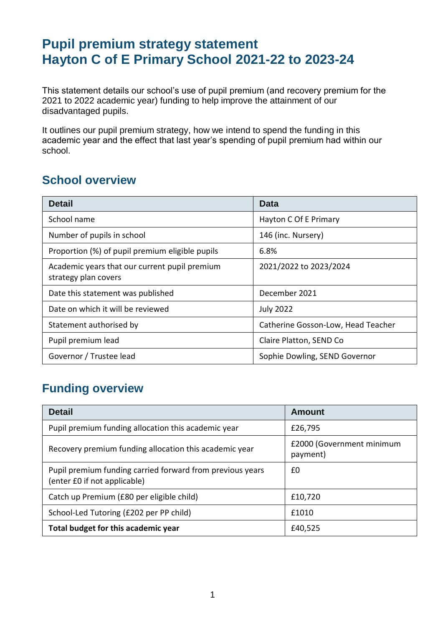# **Pupil premium strategy statement Hayton C of E Primary School 2021-22 to 2023-24**

This statement details our school's use of pupil premium (and recovery premium for the 2021 to 2022 academic year) funding to help improve the attainment of our disadvantaged pupils.

It outlines our pupil premium strategy, how we intend to spend the funding in this academic year and the effect that last year's spending of pupil premium had within our school.

### **School overview**

| <b>Detail</b>                                                         | Data                               |
|-----------------------------------------------------------------------|------------------------------------|
| School name                                                           | Hayton C Of E Primary              |
| Number of pupils in school                                            | 146 (inc. Nursery)                 |
| Proportion (%) of pupil premium eligible pupils                       | 6.8%                               |
| Academic years that our current pupil premium<br>strategy plan covers | 2021/2022 to 2023/2024             |
| Date this statement was published                                     | December 2021                      |
| Date on which it will be reviewed                                     | <b>July 2022</b>                   |
| Statement authorised by                                               | Catherine Gosson-Low, Head Teacher |
| Pupil premium lead                                                    | Claire Platton, SEND Co            |
| Governor / Trustee lead                                               | Sophie Dowling, SEND Governor      |

## **Funding overview**

| <b>Detail</b>                                                                             | Amount                                |  |
|-------------------------------------------------------------------------------------------|---------------------------------------|--|
| Pupil premium funding allocation this academic year                                       | £26,795                               |  |
| Recovery premium funding allocation this academic year                                    | £2000 (Government minimum<br>payment) |  |
| Pupil premium funding carried forward from previous years<br>(enter £0 if not applicable) | £0                                    |  |
| Catch up Premium (£80 per eligible child)                                                 | £10,720                               |  |
| School-Led Tutoring (£202 per PP child)                                                   | £1010                                 |  |
| Total budget for this academic year                                                       | £40,525                               |  |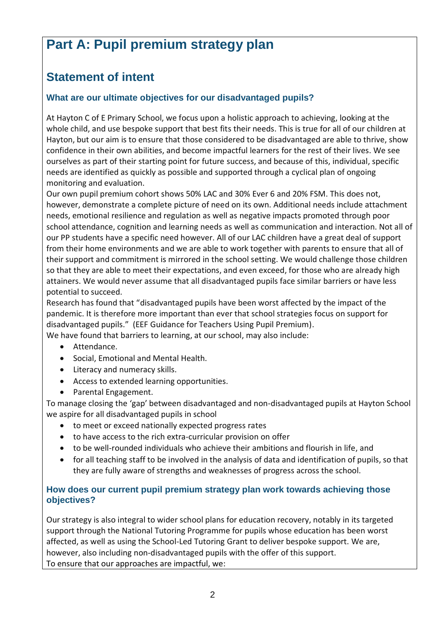# **Part A: Pupil premium strategy plan**

## **Statement of intent**

#### **What are our ultimate objectives for our disadvantaged pupils?**

At Hayton C of E Primary School, we focus upon a holistic approach to achieving, looking at the whole child, and use bespoke support that best fits their needs. This is true for all of our children at Hayton, but our aim is to ensure that those considered to be disadvantaged are able to thrive, show confidence in their own abilities, and become impactful learners for the rest of their lives. We see ourselves as part of their starting point for future success, and because of this, individual, specific needs are identified as quickly as possible and supported through a cyclical plan of ongoing monitoring and evaluation.

Our own pupil premium cohort shows 50% LAC and 30% Ever 6 and 20% FSM. This does not, however, demonstrate a complete picture of need on its own. Additional needs include attachment needs, emotional resilience and regulation as well as negative impacts promoted through poor school attendance, cognition and learning needs as well as communication and interaction. Not all of our PP students have a specific need however. All of our LAC children have a great deal of support from their home environments and we are able to work together with parents to ensure that all of their support and commitment is mirrored in the school setting. We would challenge those children so that they are able to meet their expectations, and even exceed, for those who are already high attainers. We would never assume that all disadvantaged pupils face similar barriers or have less potential to succeed.

Research has found that "disadvantaged pupils have been worst affected by the impact of the pandemic. It is therefore more important than ever that school strategies focus on support for disadvantaged pupils." (EEF Guidance for Teachers Using Pupil Premium).

We have found that barriers to learning, at our school, may also include:

- Attendance.
- Social, Emotional and Mental Health.
- Literacy and numeracy skills.
- Access to extended learning opportunities.
- Parental Engagement.

To manage closing the 'gap' between disadvantaged and non-disadvantaged pupils at Hayton School we aspire for all disadvantaged pupils in school

- to meet or exceed nationally expected progress rates
- to have access to the rich extra-curricular provision on offer
- to be well-rounded individuals who achieve their ambitions and flourish in life, and
- for all teaching staff to be involved in the analysis of data and identification of pupils, so that they are fully aware of strengths and weaknesses of progress across the school.

#### **How does our current pupil premium strategy plan work towards achieving those objectives?**

Our strategy is also integral to wider school plans for education recovery, notably in its targeted support through the National Tutoring Programme for pupils whose education has been worst affected, as well as using the School-Led Tutoring Grant to deliver bespoke support. We are, however, also including non-disadvantaged pupils with the offer of this support. To ensure that our approaches are impactful, we: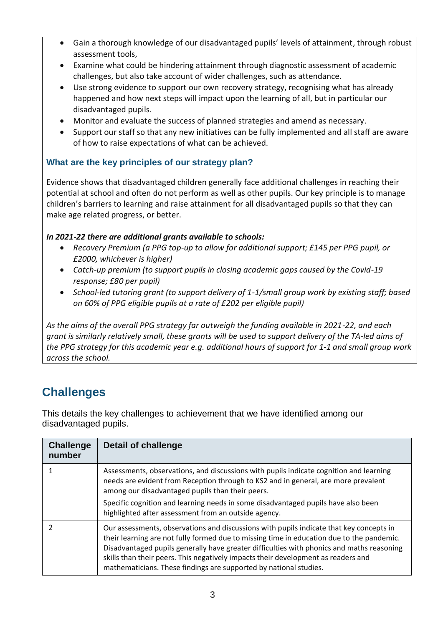- Gain a thorough knowledge of our disadvantaged pupils' levels of attainment, through robust assessment tools,
- Examine what could be hindering attainment through diagnostic assessment of academic challenges, but also take account of wider challenges, such as attendance.
- Use strong evidence to support our own recovery strategy, recognising what has already happened and how next steps will impact upon the learning of all, but in particular our disadvantaged pupils.
- Monitor and evaluate the success of planned strategies and amend as necessary.
- Support our staff so that any new initiatives can be fully implemented and all staff are aware of how to raise expectations of what can be achieved.

### **What are the key principles of our strategy plan?**

Evidence shows that disadvantaged children generally face additional challenges in reaching their potential at school and often do not perform as well as other pupils. Our key principle is to manage children's barriers to learning and raise attainment for all disadvantaged pupils so that they can make age related progress, or better.

#### *In 2021-22 there are additional grants available to schools:*

- *Recovery Premium (a PPG top-up to allow for additional support; £145 per PPG pupil, or £2000, whichever is higher)*
- *Catch-up premium (to support pupils in closing academic gaps caused by the Covid-19 response; £80 per pupil)*
- *School-led tutoring grant (to support delivery of 1-1/small group work by existing staff; based on 60% of PPG eligible pupils at a rate of £202 per eligible pupil)*

*As the aims of the overall PPG strategy far outweigh the funding available in 2021-22, and each grant is similarly relatively small, these grants will be used to support delivery of the TA-led aims of the PPG strategy for this academic year e.g. additional hours of support for 1-1 and small group work across the school.*

## **Challenges**

This details the key challenges to achievement that we have identified among our disadvantaged pupils.

| <b>Challenge</b><br>number | Detail of challenge                                                                                                                                                                                                                                                                                                                                                                                                                         |
|----------------------------|---------------------------------------------------------------------------------------------------------------------------------------------------------------------------------------------------------------------------------------------------------------------------------------------------------------------------------------------------------------------------------------------------------------------------------------------|
|                            | Assessments, observations, and discussions with pupils indicate cognition and learning<br>needs are evident from Reception through to KS2 and in general, are more prevalent<br>among our disadvantaged pupils than their peers.                                                                                                                                                                                                            |
|                            | Specific cognition and learning needs in some disadvantaged pupils have also been<br>highlighted after assessment from an outside agency.                                                                                                                                                                                                                                                                                                   |
|                            | Our assessments, observations and discussions with pupils indicate that key concepts in<br>their learning are not fully formed due to missing time in education due to the pandemic.<br>Disadvantaged pupils generally have greater difficulties with phonics and maths reasoning<br>skills than their peers. This negatively impacts their development as readers and<br>mathematicians. These findings are supported by national studies. |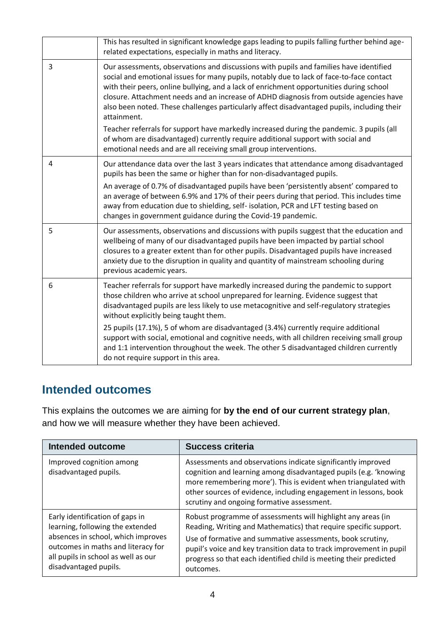|   | This has resulted in significant knowledge gaps leading to pupils falling further behind age-<br>related expectations, especially in maths and literacy.                                                                                                                                                                                                                                                                                                                                                                                                                                                                                                                                                                                 |
|---|------------------------------------------------------------------------------------------------------------------------------------------------------------------------------------------------------------------------------------------------------------------------------------------------------------------------------------------------------------------------------------------------------------------------------------------------------------------------------------------------------------------------------------------------------------------------------------------------------------------------------------------------------------------------------------------------------------------------------------------|
| 3 | Our assessments, observations and discussions with pupils and families have identified<br>social and emotional issues for many pupils, notably due to lack of face-to-face contact<br>with their peers, online bullying, and a lack of enrichment opportunities during school<br>closure. Attachment needs and an increase of ADHD diagnosis from outside agencies have<br>also been noted. These challenges particularly affect disadvantaged pupils, including their<br>attainment.<br>Teacher referrals for support have markedly increased during the pandemic. 3 pupils (all<br>of whom are disadvantaged) currently require additional support with social and<br>emotional needs and are all receiving small group interventions. |
| 4 | Our attendance data over the last 3 years indicates that attendance among disadvantaged<br>pupils has been the same or higher than for non-disadvantaged pupils.<br>An average of 0.7% of disadvantaged pupils have been 'persistently absent' compared to<br>an average of between 6.9% and 17% of their peers during that period. This includes time<br>away from education due to shielding, self- isolation, PCR and LFT testing based on<br>changes in government guidance during the Covid-19 pandemic.                                                                                                                                                                                                                            |
| 5 | Our assessments, observations and discussions with pupils suggest that the education and<br>wellbeing of many of our disadvantaged pupils have been impacted by partial school<br>closures to a greater extent than for other pupils. Disadvantaged pupils have increased<br>anxiety due to the disruption in quality and quantity of mainstream schooling during<br>previous academic years.                                                                                                                                                                                                                                                                                                                                            |
| 6 | Teacher referrals for support have markedly increased during the pandemic to support<br>those children who arrive at school unprepared for learning. Evidence suggest that<br>disadvantaged pupils are less likely to use metacognitive and self-regulatory strategies<br>without explicitly being taught them.                                                                                                                                                                                                                                                                                                                                                                                                                          |
|   | 25 pupils (17.1%), 5 of whom are disadvantaged (3.4%) currently require additional<br>support with social, emotional and cognitive needs, with all children receiving small group<br>and 1:1 intervention throughout the week. The other 5 disadvantaged children currently<br>do not require support in this area.                                                                                                                                                                                                                                                                                                                                                                                                                      |

## **Intended outcomes**

This explains the outcomes we are aiming for **by the end of our current strategy plan**, and how we will measure whether they have been achieved.

| <b>Intended outcome</b>                                                                                                                                                                                         | <b>Success criteria</b>                                                                                                                                                                                                                                                                                                                                 |
|-----------------------------------------------------------------------------------------------------------------------------------------------------------------------------------------------------------------|---------------------------------------------------------------------------------------------------------------------------------------------------------------------------------------------------------------------------------------------------------------------------------------------------------------------------------------------------------|
| Improved cognition among<br>disadvantaged pupils.                                                                                                                                                               | Assessments and observations indicate significantly improved<br>cognition and learning among disadvantaged pupils (e.g. 'knowing<br>more remembering more'). This is evident when triangulated with<br>other sources of evidence, including engagement in lessons, book<br>scrutiny and ongoing formative assessment.                                   |
| Early identification of gaps in<br>learning, following the extended<br>absences in school, which improves<br>outcomes in maths and literacy for<br>all pupils in school as well as our<br>disadvantaged pupils. | Robust programme of assessments will highlight any areas (in<br>Reading, Writing and Mathematics) that require specific support.<br>Use of formative and summative assessments, book scrutiny,<br>pupil's voice and key transition data to track improvement in pupil<br>progress so that each identified child is meeting their predicted<br>outcomes. |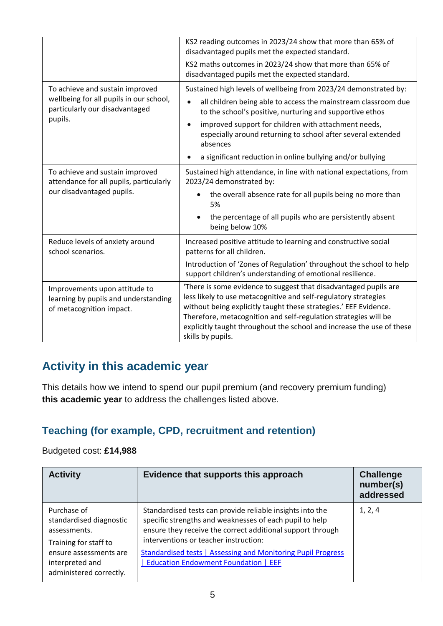|                                                                                                                         | KS2 reading outcomes in 2023/24 show that more than 65% of<br>disadvantaged pupils met the expected standard.<br>KS2 maths outcomes in 2023/24 show that more than 65% of<br>disadvantaged pupils met the expected standard.                                                                                                                                                                                               |
|-------------------------------------------------------------------------------------------------------------------------|----------------------------------------------------------------------------------------------------------------------------------------------------------------------------------------------------------------------------------------------------------------------------------------------------------------------------------------------------------------------------------------------------------------------------|
| To achieve and sustain improved<br>wellbeing for all pupils in our school,<br>particularly our disadvantaged<br>pupils. | Sustained high levels of wellbeing from 2023/24 demonstrated by:<br>all children being able to access the mainstream classroom due<br>to the school's positive, nurturing and supportive ethos<br>improved support for children with attachment needs,<br>$\bullet$<br>especially around returning to school after several extended<br>absences<br>a significant reduction in online bullying and/or bullying<br>$\bullet$ |
| To achieve and sustain improved<br>attendance for all pupils, particularly<br>our disadvantaged pupils.                 | Sustained high attendance, in line with national expectations, from<br>2023/24 demonstrated by:<br>the overall absence rate for all pupils being no more than<br>5%<br>the percentage of all pupils who are persistently absent<br>being below 10%                                                                                                                                                                         |
| Reduce levels of anxiety around<br>school scenarios.                                                                    | Increased positive attitude to learning and constructive social<br>patterns for all children.<br>Introduction of 'Zones of Regulation' throughout the school to help<br>support children's understanding of emotional resilience.                                                                                                                                                                                          |
| Improvements upon attitude to<br>learning by pupils and understanding<br>of metacognition impact.                       | 'There is some evidence to suggest that disadvantaged pupils are<br>less likely to use metacognitive and self-regulatory strategies<br>without being explicitly taught these strategies.' EEF Evidence.<br>Therefore, metacognition and self-regulation strategies will be<br>explicitly taught throughout the school and increase the use of these<br>skills by pupils.                                                   |

## **Activity in this academic year**

This details how we intend to spend our pupil premium (and recovery premium funding) **this academic year** to address the challenges listed above.

### **Teaching (for example, CPD, recruitment and retention)**

#### Budgeted cost: **£14,988**

| <b>Activity</b>                                                                                                                                         | Evidence that supports this approach                                                                                                                                                                                                                                                                                                  | <b>Challenge</b><br>number(s)<br>addressed |
|---------------------------------------------------------------------------------------------------------------------------------------------------------|---------------------------------------------------------------------------------------------------------------------------------------------------------------------------------------------------------------------------------------------------------------------------------------------------------------------------------------|--------------------------------------------|
| Purchase of<br>standardised diagnostic<br>assessments.<br>Training for staff to<br>ensure assessments are<br>interpreted and<br>administered correctly. | Standardised tests can provide reliable insights into the<br>specific strengths and weaknesses of each pupil to help<br>ensure they receive the correct additional support through<br>interventions or teacher instruction:<br>Standardised tests   Assessing and Monitoring Pupil Progress<br>  Education Endowment Foundation   EEF | 1, 2, 4                                    |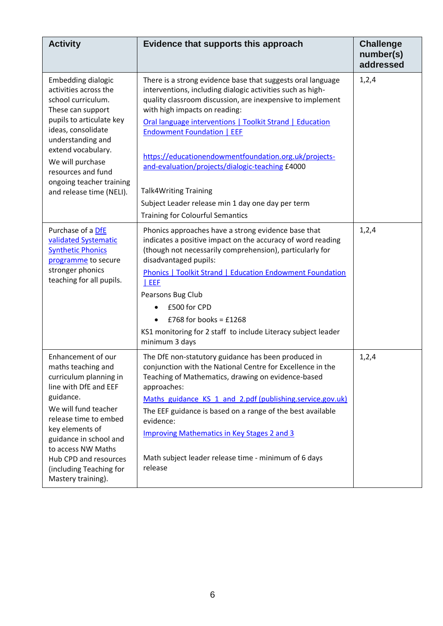| <b>Activity</b>                                                                                                                                                                                                                                                                                        | Evidence that supports this approach                                                                                                                                                                                                                                                                                                                                                                                                                                                                                                                                  | <b>Challenge</b><br>number(s)<br>addressed |
|--------------------------------------------------------------------------------------------------------------------------------------------------------------------------------------------------------------------------------------------------------------------------------------------------------|-----------------------------------------------------------------------------------------------------------------------------------------------------------------------------------------------------------------------------------------------------------------------------------------------------------------------------------------------------------------------------------------------------------------------------------------------------------------------------------------------------------------------------------------------------------------------|--------------------------------------------|
| Embedding dialogic<br>activities across the<br>school curriculum.<br>These can support<br>pupils to articulate key<br>ideas, consolidate<br>understanding and<br>extend vocabulary.<br>We will purchase<br>resources and fund<br>ongoing teacher training<br>and release time (NELI).                  | There is a strong evidence base that suggests oral language<br>interventions, including dialogic activities such as high-<br>quality classroom discussion, are inexpensive to implement<br>with high impacts on reading:<br>Oral language interventions   Toolkit Strand   Education<br><b>Endowment Foundation   EEF</b><br>https://educationendowmentfoundation.org.uk/projects-<br>and-evaluation/projects/dialogic-teaching £4000<br><b>Talk4Writing Training</b><br>Subject Leader release min 1 day one day per term<br><b>Training for Colourful Semantics</b> | 1,2,4                                      |
| Purchase of a DfE<br>validated Systematic<br><b>Synthetic Phonics</b><br>programme to secure<br>stronger phonics<br>teaching for all pupils.                                                                                                                                                           | Phonics approaches have a strong evidence base that<br>indicates a positive impact on the accuracy of word reading<br>(though not necessarily comprehension), particularly for<br>disadvantaged pupils:<br><b>Phonics   Toolkit Strand   Education Endowment Foundation</b><br>$ $ EEF<br>Pearsons Bug Club<br>£500 for CPD<br>£768 for books = $£1268$<br>KS1 monitoring for 2 staff to include Literacy subject leader<br>minimum 3 days                                                                                                                            | 1,2,4                                      |
| Enhancement of our<br>maths teaching and<br>curriculum planning in<br>line with DfE and EEF<br>guidance.<br>We will fund teacher<br>release time to embed<br>key elements of<br>guidance in school and<br>to access NW Maths<br>Hub CPD and resources<br>(including Teaching for<br>Mastery training). | The DfE non-statutory guidance has been produced in<br>conjunction with the National Centre for Excellence in the<br>Teaching of Mathematics, drawing on evidence-based<br>approaches:<br>Maths guidance KS 1 and 2.pdf (publishing.service.gov.uk)<br>The EEF guidance is based on a range of the best available<br>evidence:<br>Improving Mathematics in Key Stages 2 and 3<br>Math subject leader release time - minimum of 6 days<br>release                                                                                                                      | 1,2,4                                      |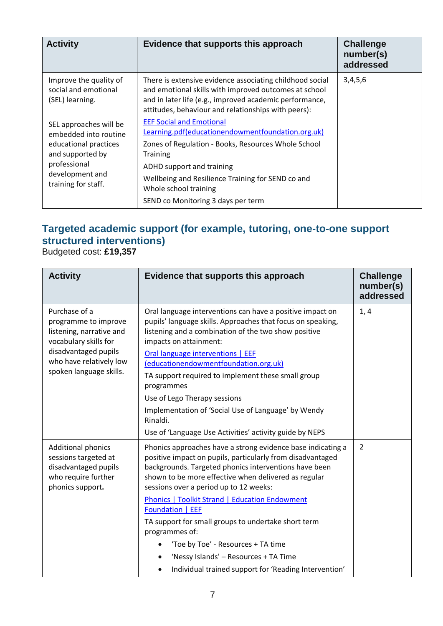| <b>Activity</b>                                                                                                                                        | Evidence that supports this approach                                                                                                                                                                                                                                                                            | <b>Challenge</b><br>number(s)<br>addressed |
|--------------------------------------------------------------------------------------------------------------------------------------------------------|-----------------------------------------------------------------------------------------------------------------------------------------------------------------------------------------------------------------------------------------------------------------------------------------------------------------|--------------------------------------------|
| Improve the quality of<br>social and emotional<br>(SEL) learning.                                                                                      | There is extensive evidence associating childhood social<br>and emotional skills with improved outcomes at school<br>and in later life (e.g., improved academic performance,<br>attitudes, behaviour and relationships with peers):                                                                             | 3,4,5,6                                    |
| SEL approaches will be<br>embedded into routine<br>educational practices<br>and supported by<br>professional<br>development and<br>training for staff. | <b>EEF Social and Emotional</b><br>Learning.pdf(educationendowmentfoundation.org.uk)<br>Zones of Regulation - Books, Resources Whole School<br><b>Training</b><br>ADHD support and training<br>Wellbeing and Resilience Training for SEND co and<br>Whole school training<br>SEND co Monitoring 3 days per term |                                            |

### **Targeted academic support (for example, tutoring, one-to-one support structured interventions)**

Budgeted cost: **£19,357**

| <b>Activity</b>                                                                                                                                                          | Evidence that supports this approach                                                                                                                                                                                                                                                                                                                                                                                                                                                                                                                                        | <b>Challenge</b><br>number(s)<br>addressed |
|--------------------------------------------------------------------------------------------------------------------------------------------------------------------------|-----------------------------------------------------------------------------------------------------------------------------------------------------------------------------------------------------------------------------------------------------------------------------------------------------------------------------------------------------------------------------------------------------------------------------------------------------------------------------------------------------------------------------------------------------------------------------|--------------------------------------------|
| Purchase of a<br>programme to improve<br>listening, narrative and<br>vocabulary skills for<br>disadvantaged pupils<br>who have relatively low<br>spoken language skills. | Oral language interventions can have a positive impact on<br>pupils' language skills. Approaches that focus on speaking,<br>listening and a combination of the two show positive<br>impacts on attainment:<br>Oral language interventions   EEF<br>(educationendowmentfoundation.org.uk)<br>TA support required to implement these small group<br>programmes<br>Use of Lego Therapy sessions<br>Implementation of 'Social Use of Language' by Wendy<br>Rinaldi.<br>Use of 'Language Use Activities' activity guide by NEPS                                                  | 1, 4                                       |
| <b>Additional phonics</b><br>sessions targeted at<br>disadvantaged pupils<br>who require further<br>phonics support.                                                     | Phonics approaches have a strong evidence base indicating a<br>positive impact on pupils, particularly from disadvantaged<br>backgrounds. Targeted phonics interventions have been<br>shown to be more effective when delivered as regular<br>sessions over a period up to 12 weeks:<br>Phonics   Toolkit Strand   Education Endowment<br>Foundation   EEF<br>TA support for small groups to undertake short term<br>programmes of:<br>'Toe by Toe' - Resources + TA time<br>'Nessy Islands' - Resources + TA Time<br>Individual trained support for 'Reading Intervention' | 2                                          |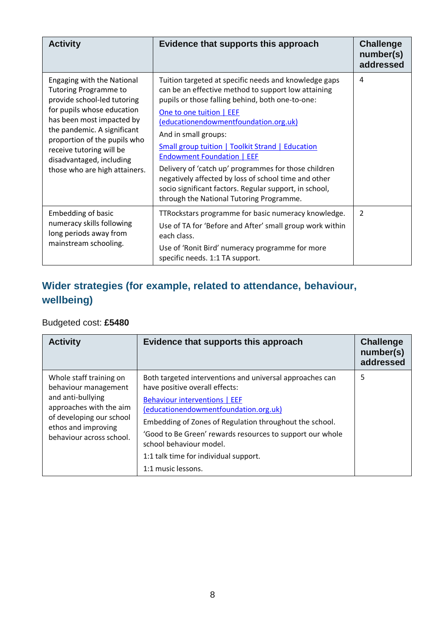| <b>Activity</b>                                                                                                                                                                                                                                                                                              | Evidence that supports this approach                                                                                                                                                                                                                                                                                                                                                                                                                                                                                                                                  | <b>Challenge</b><br>number(s)<br>addressed |
|--------------------------------------------------------------------------------------------------------------------------------------------------------------------------------------------------------------------------------------------------------------------------------------------------------------|-----------------------------------------------------------------------------------------------------------------------------------------------------------------------------------------------------------------------------------------------------------------------------------------------------------------------------------------------------------------------------------------------------------------------------------------------------------------------------------------------------------------------------------------------------------------------|--------------------------------------------|
| Engaging with the National<br><b>Tutoring Programme to</b><br>provide school-led tutoring<br>for pupils whose education<br>has been most impacted by<br>the pandemic. A significant<br>proportion of the pupils who<br>receive tutoring will be<br>disadvantaged, including<br>those who are high attainers. | Tuition targeted at specific needs and knowledge gaps<br>can be an effective method to support low attaining<br>pupils or those falling behind, both one-to-one:<br>One to one tuition   EEF<br>(educationendowmentfoundation.org.uk)<br>And in small groups:<br>Small group tuition   Toolkit Strand   Education<br>Endowment Foundation   EEF<br>Delivery of 'catch up' programmes for those children<br>negatively affected by loss of school time and other<br>socio significant factors. Regular support, in school,<br>through the National Tutoring Programme. | 4                                          |
| <b>Embedding of basic</b><br>numeracy skills following<br>long periods away from<br>mainstream schooling.                                                                                                                                                                                                    | TTRockstars programme for basic numeracy knowledge.<br>Use of TA for 'Before and After' small group work within<br>each class.<br>Use of 'Ronit Bird' numeracy programme for more<br>specific needs. 1:1 TA support.                                                                                                                                                                                                                                                                                                                                                  | $\overline{2}$                             |

## **Wider strategies (for example, related to attendance, behaviour, wellbeing)**

### Budgeted cost: **£5480**

| <b>Activity</b>                                                                                                                                                                | Evidence that supports this approach                                                                                                                                                                                                                                                                                                                                                          | <b>Challenge</b><br>number(s)<br>addressed |
|--------------------------------------------------------------------------------------------------------------------------------------------------------------------------------|-----------------------------------------------------------------------------------------------------------------------------------------------------------------------------------------------------------------------------------------------------------------------------------------------------------------------------------------------------------------------------------------------|--------------------------------------------|
| Whole staff training on<br>behaviour management<br>and anti-bullying<br>approaches with the aim<br>of developing our school<br>ethos and improving<br>behaviour across school. | Both targeted interventions and universal approaches can<br>have positive overall effects:<br><b>Behaviour interventions   EEF</b><br>(educationendowmentfoundation.org.uk)<br>Embedding of Zones of Regulation throughout the school.<br>'Good to Be Green' rewards resources to support our whole<br>school behaviour model.<br>1:1 talk time for individual support.<br>1:1 music lessons. | 5                                          |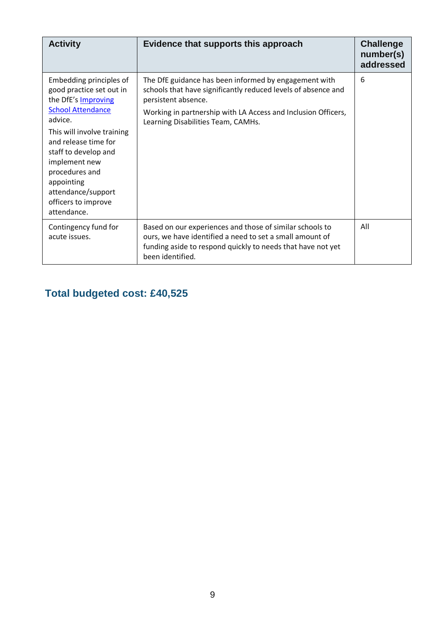| <b>Activity</b>                                                                                                                                                                                                                                                                                              | Evidence that supports this approach                                                                                                                                                                                                                 | <b>Challenge</b><br>number(s)<br>addressed |
|--------------------------------------------------------------------------------------------------------------------------------------------------------------------------------------------------------------------------------------------------------------------------------------------------------------|------------------------------------------------------------------------------------------------------------------------------------------------------------------------------------------------------------------------------------------------------|--------------------------------------------|
| Embedding principles of<br>good practice set out in<br>the DfE's Improving<br><b>School Attendance</b><br>advice.<br>This will involve training<br>and release time for<br>staff to develop and<br>implement new<br>procedures and<br>appointing<br>attendance/support<br>officers to improve<br>attendance. | The DfE guidance has been informed by engagement with<br>schools that have significantly reduced levels of absence and<br>persistent absence.<br>Working in partnership with LA Access and Inclusion Officers,<br>Learning Disabilities Team, CAMHs. | 6                                          |
| Contingency fund for<br>acute issues.                                                                                                                                                                                                                                                                        | Based on our experiences and those of similar schools to<br>ours, we have identified a need to set a small amount of<br>funding aside to respond quickly to needs that have not yet<br>been identified.                                              | All                                        |

# **Total budgeted cost: £40,525**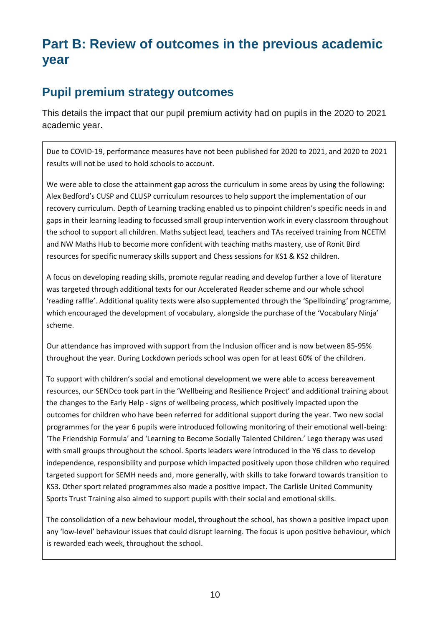# **Part B: Review of outcomes in the previous academic year**

## **Pupil premium strategy outcomes**

This details the impact that our pupil premium activity had on pupils in the 2020 to 2021 academic year.

Due to COVID-19, performance measures have not been published for 2020 to 2021, and 2020 to 2021 results will not be used to hold schools to account.

We were able to close the attainment gap across the curriculum in some areas by using the following: Alex Bedford's CUSP and CLUSP curriculum resources to help support the implementation of our recovery curriculum. Depth of Learning tracking enabled us to pinpoint children's specific needs in and gaps in their learning leading to focussed small group intervention work in every classroom throughout the school to support all children. Maths subject lead, teachers and TAs received training from NCETM and NW Maths Hub to become more confident with teaching maths mastery, use of Ronit Bird resources for specific numeracy skills support and Chess sessions for KS1 & KS2 children.

A focus on developing reading skills, promote regular reading and develop further a love of literature was targeted through additional texts for our Accelerated Reader scheme and our whole school 'reading raffle'. Additional quality texts were also supplemented through the 'Spellbinding' programme, which encouraged the development of vocabulary, alongside the purchase of the 'Vocabulary Ninja' scheme.

Our attendance has improved with support from the Inclusion officer and is now between 85-95% throughout the year. During Lockdown periods school was open for at least 60% of the children.

To support with children's social and emotional development we were able to access bereavement resources, our SENDco took part in the 'Wellbeing and Resilience Project' and additional training about the changes to the Early Help - signs of wellbeing process, which positively impacted upon the outcomes for children who have been referred for additional support during the year. Two new social programmes for the year 6 pupils were introduced following monitoring of their emotional well-being: 'The Friendship Formula' and 'Learning to Become Socially Talented Children.' Lego therapy was used with small groups throughout the school. Sports leaders were introduced in the Y6 class to develop independence, responsibility and purpose which impacted positively upon those children who required targeted support for SEMH needs and, more generally, with skills to take forward towards transition to KS3. Other sport related programmes also made a positive impact. The Carlisle United Community Sports Trust Training also aimed to support pupils with their social and emotional skills.

The consolidation of a new behaviour model, throughout the school, has shown a positive impact upon any 'low-level' behaviour issues that could disrupt learning. The focus is upon positive behaviour, which is rewarded each week, throughout the school.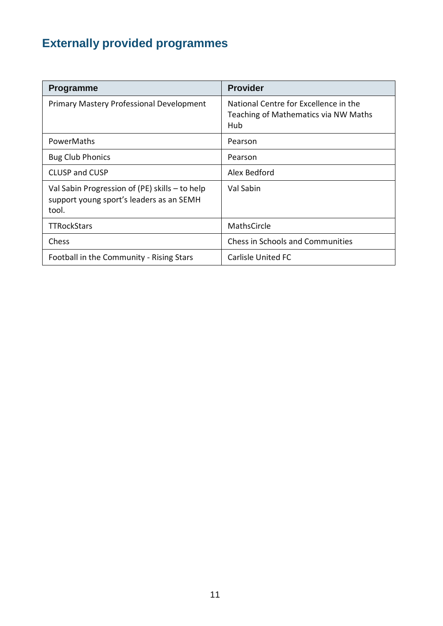# **Externally provided programmes**

| <b>Programme</b>                                                                                    | <b>Provider</b>                                                                      |
|-----------------------------------------------------------------------------------------------------|--------------------------------------------------------------------------------------|
| <b>Primary Mastery Professional Development</b>                                                     | National Centre for Excellence in the<br>Teaching of Mathematics via NW Maths<br>Hub |
| PowerMaths                                                                                          | Pearson                                                                              |
| <b>Bug Club Phonics</b>                                                                             | Pearson                                                                              |
| <b>CLUSP and CUSP</b>                                                                               | Alex Bedford                                                                         |
| Val Sabin Progression of (PE) skills - to help<br>support young sport's leaders as an SEMH<br>tool. | Val Sabin                                                                            |
| <b>TTRockStars</b>                                                                                  | MathsCircle                                                                          |
| Chess                                                                                               | <b>Chess in Schools and Communities</b>                                              |
| Football in the Community - Rising Stars                                                            | Carlisle United FC                                                                   |